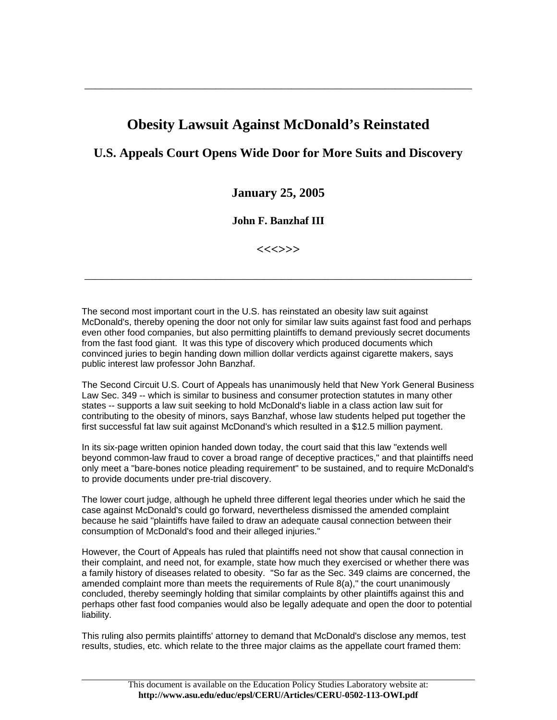## **Obesity Lawsuit Against McDonald's Reinstated**

\_\_\_\_\_\_\_\_\_\_\_\_\_\_\_\_\_\_\_\_\_\_\_\_\_\_\_\_\_\_\_\_\_\_\_\_\_\_\_\_\_\_\_\_\_\_\_\_\_\_\_\_\_\_\_\_\_\_\_\_\_\_\_\_\_\_\_\_\_\_\_

## **U.S. Appeals Court Opens Wide Door for More Suits and Discovery**

## **January 25, 2005**

**John F. Banzhaf III** 

**<<<>>>** 

\_\_\_\_\_\_\_\_\_\_\_\_\_\_\_\_\_\_\_\_\_\_\_\_\_\_\_\_\_\_\_\_\_\_\_\_\_\_\_\_\_\_\_\_\_\_\_\_\_\_\_\_\_\_\_\_\_\_\_\_\_\_\_\_\_\_\_\_\_\_\_

The second most important court in the U.S. has reinstated an obesity law suit against McDonald's, thereby opening the door not only for similar law suits against fast food and perhaps even other food companies, but also permitting plaintiffs to demand previously secret documents from the fast food giant. It was this type of discovery which produced documents which convinced juries to begin handing down million dollar verdicts against cigarette makers, says public interest law professor John Banzhaf.

The Second Circuit U.S. Court of Appeals has unanimously held that New York General Business Law Sec. 349 -- which is similar to business and consumer protection statutes in many other states -- supports a law suit seeking to hold McDonald's liable in a class action law suit for contributing to the obesity of minors, says Banzhaf, whose law students helped put together the first successful fat law suit against McDonand's which resulted in a \$12.5 million payment.

In its six-page written opinion handed down today, the court said that this law "extends well beyond common-law fraud to cover a broad range of deceptive practices," and that plaintiffs need only meet a "bare-bones notice pleading requirement" to be sustained, and to require McDonald's to provide documents under pre-trial discovery.

The lower court judge, although he upheld three different legal theories under which he said the case against McDonald's could go forward, nevertheless dismissed the amended complaint because he said "plaintiffs have failed to draw an adequate causal connection between their consumption of McDonald's food and their alleged injuries."

However, the Court of Appeals has ruled that plaintiffs need not show that causal connection in their complaint, and need not, for example, state how much they exercised or whether there was a family history of diseases related to obesity. "So far as the Sec. 349 claims are concerned, the amended complaint more than meets the requirements of Rule 8(a)," the court unanimously concluded, thereby seemingly holding that similar complaints by other plaintiffs against this and perhaps other fast food companies would also be legally adequate and open the door to potential liability.

This ruling also permits plaintiffs' attorney to demand that McDonald's disclose any memos, test results, studies, etc. which relate to the three major claims as the appellate court framed them: